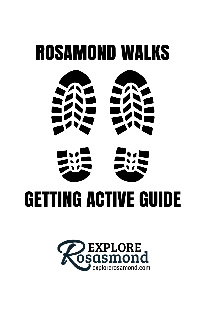

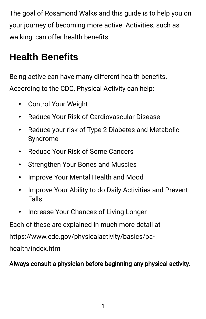The goal of Rosamond Walks and this guide is to help you on your journey of becoming more active. Activities, such as walking, can offer health benefts.

## **Health Benefits**

Being active can have many different health benefts. According to the CDC, Physical Activity can help:

- Control Your Weight
- Reduce Your Risk of Cardiovascular Disease
- Reduce your risk of Type 2 Diabetes and Metabolic Syndrome
- Reduce Your Risk of Some Cancers
- Strengthen Your Bones and Muscles
- Improve Your Mental Health and Mood
- Improve Your Ability to do Daily Activities and Prevent Falls
- Increase Your Chances of Living Longer

Each of these are explained in much more detail at

https://www.cdc.gov/physicalactivity/basics/pa-

health/index.htm

#### Always consult a physician before beginning any physical activity.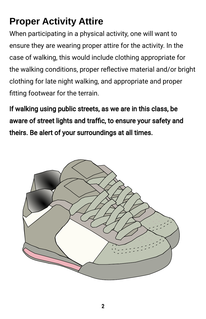### **Proper Activity Attire**

When participating in a physical activity, one will want to ensure they are wearing proper attire for the activity. In the case of walking, this would include clothing appropriate for the walking conditions, proper refective material and/or bright clothing for late night walking, and appropriate and proper ftting footwear for the terrain.

If walking using public streets, as we are in this class, be aware of street lights and traffic, to ensure your safety and theirs. Be alert of your surroundings at all times.

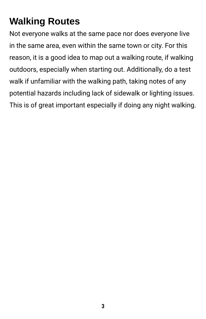## **Walking Routes**

Not everyone walks at the same pace nor does everyone live in the same area, even within the same town or city. For this reason, it is a good idea to map out a walking route, if walking outdoors, especially when starting out. Additionally, do a test walk if unfamiliar with the walking path, taking notes of any potential hazards including lack of sidewalk or lighting issues. This is of great important especially if doing any night walking.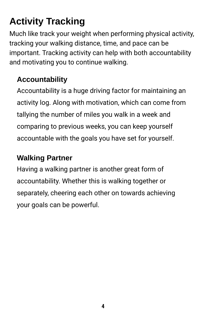# **Activity Tracking**

Much like track your weight when performing physical activity, tracking your walking distance, time, and pace can be important. Tracking activity can help with both accountability and motivating you to continue walking.

### **Accountability**

Accountability is a huge driving factor for maintaining an activity log. Along with motivation, which can come from tallying the number of miles you walk in a week and comparing to previous weeks, you can keep yourself accountable with the goals you have set for yourself.

#### **Walking Partner**

Having a walking partner is another great form of accountability. Whether this is walking together or separately, cheering each other on towards achieving your goals can be powerful.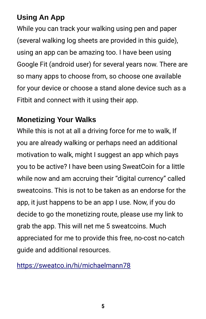### **Using An App**

While you can track your walking using pen and paper (several walking log sheets are provided in this guide), using an app can be amazing too. I have been using Google Fit (android user) for several years now. There are so many apps to choose from, so choose one available for your device or choose a stand alone device such as a Fitbit and connect with it using their app.

#### **Monetizing Your Walks**

While this is not at all a driving force for me to walk, If you are already walking or perhaps need an additional motivation to walk, might I suggest an app which pays you to be active? I have been using SweatCoin for a little while now and am accruing their "digital currency" called sweatcoins. This is not to be taken as an endorse for the app, it just happens to be an app I use. Now, if you do decide to go the monetizing route, please use my link to grab the app. This will net me 5 sweatcoins. Much appreciated for me to provide this free, no-cost no-catch guide and additional resources.

<https://sweatco.in/hi/michaelmann78>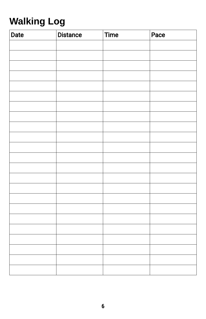# **Walking Log**

| <b>Date</b> | <b>Distance</b> | <b>Time</b> | Pace |
|-------------|-----------------|-------------|------|
|             |                 |             |      |
|             |                 |             |      |
|             |                 |             |      |
|             |                 |             |      |
|             |                 |             |      |
|             |                 |             |      |
|             |                 |             |      |
|             |                 |             |      |
|             |                 |             |      |
|             |                 |             |      |
|             |                 |             |      |
|             |                 |             |      |
|             |                 |             |      |
|             |                 |             |      |
|             |                 |             |      |
|             |                 |             |      |
|             |                 |             |      |
|             |                 |             |      |
|             |                 |             |      |
|             |                 |             |      |
|             |                 |             |      |
|             |                 |             |      |
|             |                 |             |      |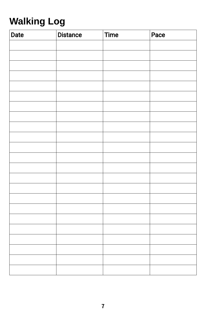# **Walking Log**

| <b>Date</b> | <b>Distance</b> | <b>Time</b> | Pace |
|-------------|-----------------|-------------|------|
|             |                 |             |      |
|             |                 |             |      |
|             |                 |             |      |
|             |                 |             |      |
|             |                 |             |      |
|             |                 |             |      |
|             |                 |             |      |
|             |                 |             |      |
|             |                 |             |      |
|             |                 |             |      |
|             |                 |             |      |
|             |                 |             |      |
|             |                 |             |      |
|             |                 |             |      |
|             |                 |             |      |
|             |                 |             |      |
|             |                 |             |      |
|             |                 |             |      |
|             |                 |             |      |
|             |                 |             |      |
|             |                 |             |      |
|             |                 |             |      |
|             |                 |             |      |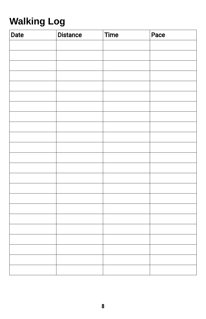# **Walking Log**

| <b>Date</b> | <b>Distance</b> | <b>Time</b> | Pace |
|-------------|-----------------|-------------|------|
|             |                 |             |      |
|             |                 |             |      |
|             |                 |             |      |
|             |                 |             |      |
|             |                 |             |      |
|             |                 |             |      |
|             |                 |             |      |
|             |                 |             |      |
|             |                 |             |      |
|             |                 |             |      |
|             |                 |             |      |
|             |                 |             |      |
|             |                 |             |      |
|             |                 |             |      |
|             |                 |             |      |
|             |                 |             |      |
|             |                 |             |      |
|             |                 |             |      |
|             |                 |             |      |
|             |                 |             |      |
|             |                 |             |      |
|             |                 |             |      |
|             |                 |             |      |